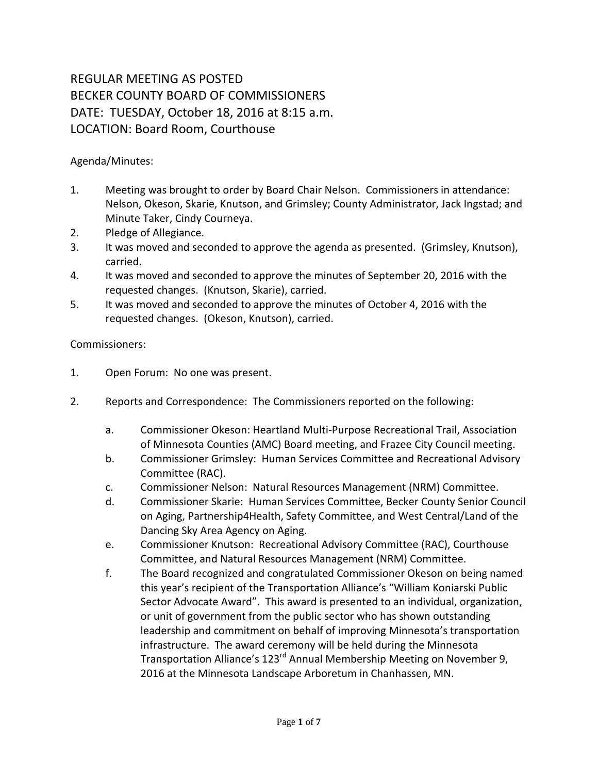## REGULAR MEETING AS POSTED BECKER COUNTY BOARD OF COMMISSIONERS DATE: TUESDAY, October 18, 2016 at 8:15 a.m. LOCATION: Board Room, Courthouse

Agenda/Minutes:

- 1. Meeting was brought to order by Board Chair Nelson. Commissioners in attendance: Nelson, Okeson, Skarie, Knutson, and Grimsley; County Administrator, Jack Ingstad; and Minute Taker, Cindy Courneya.
- 2. Pledge of Allegiance.
- 3. It was moved and seconded to approve the agenda as presented. (Grimsley, Knutson), carried.
- 4. It was moved and seconded to approve the minutes of September 20, 2016 with the requested changes. (Knutson, Skarie), carried.
- 5. It was moved and seconded to approve the minutes of October 4, 2016 with the requested changes. (Okeson, Knutson), carried.

## Commissioners:

- 1. Open Forum: No one was present.
- 2. Reports and Correspondence: The Commissioners reported on the following:
	- a. Commissioner Okeson: Heartland Multi-Purpose Recreational Trail, Association of Minnesota Counties (AMC) Board meeting, and Frazee City Council meeting.
	- b. Commissioner Grimsley: Human Services Committee and Recreational Advisory Committee (RAC).
	- c. Commissioner Nelson: Natural Resources Management (NRM) Committee.
	- d. Commissioner Skarie: Human Services Committee, Becker County Senior Council on Aging, Partnership4Health, Safety Committee, and West Central/Land of the Dancing Sky Area Agency on Aging.
	- e. Commissioner Knutson: Recreational Advisory Committee (RAC), Courthouse Committee, and Natural Resources Management (NRM) Committee.
	- f. The Board recognized and congratulated Commissioner Okeson on being named this year's recipient of the Transportation Alliance's "William Koniarski Public Sector Advocate Award". This award is presented to an individual, organization, or unit of government from the public sector who has shown outstanding leadership and commitment on behalf of improving Minnesota's transportation infrastructure. The award ceremony will be held during the Minnesota Transportation Alliance's 123<sup>rd</sup> Annual Membership Meeting on November 9, 2016 at the Minnesota Landscape Arboretum in Chanhassen, MN.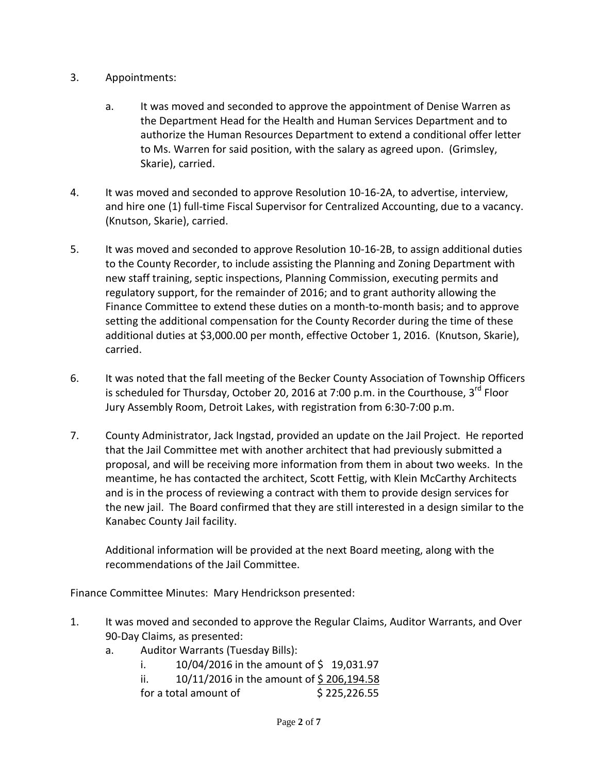- 3. Appointments:
	- a. It was moved and seconded to approve the appointment of Denise Warren as the Department Head for the Health and Human Services Department and to authorize the Human Resources Department to extend a conditional offer letter to Ms. Warren for said position, with the salary as agreed upon. (Grimsley, Skarie), carried.
- 4. It was moved and seconded to approve Resolution 10-16-2A, to advertise, interview, and hire one (1) full-time Fiscal Supervisor for Centralized Accounting, due to a vacancy. (Knutson, Skarie), carried.
- 5. It was moved and seconded to approve Resolution 10-16-2B, to assign additional duties to the County Recorder, to include assisting the Planning and Zoning Department with new staff training, septic inspections, Planning Commission, executing permits and regulatory support, for the remainder of 2016; and to grant authority allowing the Finance Committee to extend these duties on a month-to-month basis; and to approve setting the additional compensation for the County Recorder during the time of these additional duties at \$3,000.00 per month, effective October 1, 2016. (Knutson, Skarie), carried.
- 6. It was noted that the fall meeting of the Becker County Association of Township Officers is scheduled for Thursday, October 20, 2016 at 7:00 p.m. in the Courthouse, 3<sup>rd</sup> Floor Jury Assembly Room, Detroit Lakes, with registration from 6:30-7:00 p.m.
- 7. County Administrator, Jack Ingstad, provided an update on the Jail Project. He reported that the Jail Committee met with another architect that had previously submitted a proposal, and will be receiving more information from them in about two weeks. In the meantime, he has contacted the architect, Scott Fettig, with Klein McCarthy Architects and is in the process of reviewing a contract with them to provide design services for the new jail. The Board confirmed that they are still interested in a design similar to the Kanabec County Jail facility.

Additional information will be provided at the next Board meeting, along with the recommendations of the Jail Committee.

Finance Committee Minutes: Mary Hendrickson presented:

- 1. It was moved and seconded to approve the Regular Claims, Auditor Warrants, and Over 90-Day Claims, as presented:
	- a. Auditor Warrants (Tuesday Bills):
		- i.  $10/04/2016$  in the amount of \$19,031.97
		- ii.  $10/11/2016$  in the amount of \$206,194.58
		- for a total amount of  $\frac{1}{2}$  225,226.55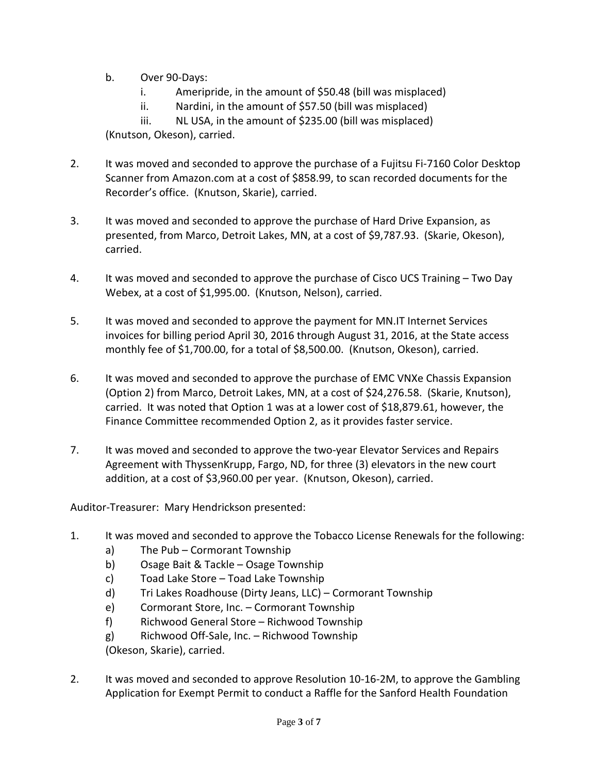- b. Over 90-Days:
	- i. Ameripride, in the amount of \$50.48 (bill was misplaced)
	- ii. Nardini, in the amount of \$57.50 (bill was misplaced)

iii. NL USA, in the amount of \$235.00 (bill was misplaced) (Knutson, Okeson), carried.

- 2. It was moved and seconded to approve the purchase of a Fujitsu Fi-7160 Color Desktop Scanner from Amazon.com at a cost of \$858.99, to scan recorded documents for the Recorder's office. (Knutson, Skarie), carried.
- 3. It was moved and seconded to approve the purchase of Hard Drive Expansion, as presented, from Marco, Detroit Lakes, MN, at a cost of \$9,787.93. (Skarie, Okeson), carried.
- 4. It was moved and seconded to approve the purchase of Cisco UCS Training Two Day Webex, at a cost of \$1,995.00. (Knutson, Nelson), carried.
- 5. It was moved and seconded to approve the payment for MN.IT Internet Services invoices for billing period April 30, 2016 through August 31, 2016, at the State access monthly fee of \$1,700.00, for a total of \$8,500.00. (Knutson, Okeson), carried.
- 6. It was moved and seconded to approve the purchase of EMC VNXe Chassis Expansion (Option 2) from Marco, Detroit Lakes, MN, at a cost of \$24,276.58. (Skarie, Knutson), carried. It was noted that Option 1 was at a lower cost of \$18,879.61, however, the Finance Committee recommended Option 2, as it provides faster service.
- 7. It was moved and seconded to approve the two-year Elevator Services and Repairs Agreement with ThyssenKrupp, Fargo, ND, for three (3) elevators in the new court addition, at a cost of \$3,960.00 per year. (Knutson, Okeson), carried.

Auditor-Treasurer: Mary Hendrickson presented:

- 1. It was moved and seconded to approve the Tobacco License Renewals for the following:
	- a) The Pub Cormorant Township
	- b) Osage Bait & Tackle Osage Township
	- c) Toad Lake Store Toad Lake Township
	- d) Tri Lakes Roadhouse (Dirty Jeans, LLC) Cormorant Township
	- e) Cormorant Store, Inc. Cormorant Township
	- f) Richwood General Store Richwood Township
	- g) Richwood Off-Sale, Inc. Richwood Township

(Okeson, Skarie), carried.

2. It was moved and seconded to approve Resolution 10-16-2M, to approve the Gambling Application for Exempt Permit to conduct a Raffle for the Sanford Health Foundation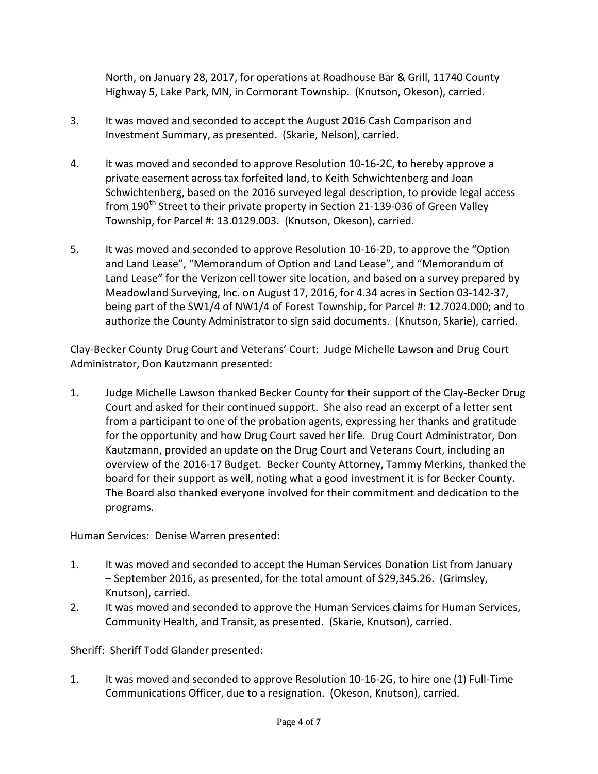North, on January 28, 2017, for operations at Roadhouse Bar & Grill, 11740 County Highway 5, Lake Park, MN, in Cormorant Township. (Knutson, Okeson), carried.

- 3. It was moved and seconded to accept the August 2016 Cash Comparison and Investment Summary, as presented. (Skarie, Nelson), carried.
- 4. It was moved and seconded to approve Resolution 10-16-2C, to hereby approve a private easement across tax forfeited land, to Keith Schwichtenberg and Joan Schwichtenberg, based on the 2016 surveyed legal description, to provide legal access from 190<sup>th</sup> Street to their private property in Section 21-139-036 of Green Valley Township, for Parcel #: 13.0129.003. (Knutson, Okeson), carried.
- 5. It was moved and seconded to approve Resolution 10-16-2D, to approve the "Option and Land Lease", "Memorandum of Option and Land Lease", and "Memorandum of Land Lease" for the Verizon cell tower site location, and based on a survey prepared by Meadowland Surveying, Inc. on August 17, 2016, for 4.34 acres in Section 03-142-37, being part of the SW1/4 of NW1/4 of Forest Township, for Parcel #: 12.7024.000; and to authorize the County Administrator to sign said documents. (Knutson, Skarie), carried.

Clay-Becker County Drug Court and Veterans' Court: Judge Michelle Lawson and Drug Court Administrator, Don Kautzmann presented:

1. Judge Michelle Lawson thanked Becker County for their support of the Clay-Becker Drug Court and asked for their continued support. She also read an excerpt of a letter sent from a participant to one of the probation agents, expressing her thanks and gratitude for the opportunity and how Drug Court saved her life. Drug Court Administrator, Don Kautzmann, provided an update on the Drug Court and Veterans Court, including an overview of the 2016-17 Budget. Becker County Attorney, Tammy Merkins, thanked the board for their support as well, noting what a good investment it is for Becker County. The Board also thanked everyone involved for their commitment and dedication to the programs.

Human Services: Denise Warren presented:

- 1. It was moved and seconded to accept the Human Services Donation List from January – September 2016, as presented, for the total amount of \$29,345.26. (Grimsley, Knutson), carried.
- 2. It was moved and seconded to approve the Human Services claims for Human Services, Community Health, and Transit, as presented. (Skarie, Knutson), carried.

Sheriff: Sheriff Todd Glander presented:

1. It was moved and seconded to approve Resolution 10-16-2G, to hire one (1) Full-Time Communications Officer, due to a resignation. (Okeson, Knutson), carried.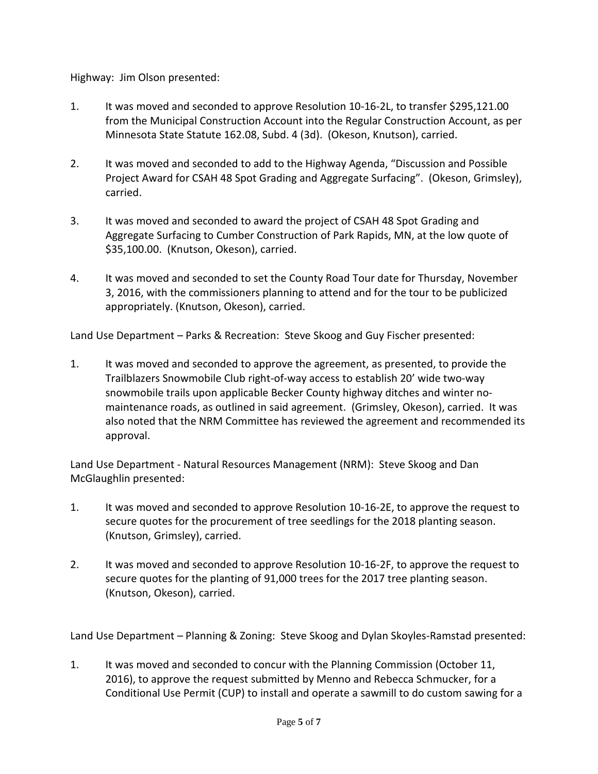Highway: Jim Olson presented:

- 1. It was moved and seconded to approve Resolution 10-16-2L, to transfer \$295,121.00 from the Municipal Construction Account into the Regular Construction Account, as per Minnesota State Statute 162.08, Subd. 4 (3d). (Okeson, Knutson), carried.
- 2. It was moved and seconded to add to the Highway Agenda, "Discussion and Possible Project Award for CSAH 48 Spot Grading and Aggregate Surfacing". (Okeson, Grimsley), carried.
- 3. It was moved and seconded to award the project of CSAH 48 Spot Grading and Aggregate Surfacing to Cumber Construction of Park Rapids, MN, at the low quote of \$35,100.00. (Knutson, Okeson), carried.
- 4. It was moved and seconded to set the County Road Tour date for Thursday, November 3, 2016, with the commissioners planning to attend and for the tour to be publicized appropriately. (Knutson, Okeson), carried.

Land Use Department – Parks & Recreation: Steve Skoog and Guy Fischer presented:

1. It was moved and seconded to approve the agreement, as presented, to provide the Trailblazers Snowmobile Club right-of-way access to establish 20' wide two-way snowmobile trails upon applicable Becker County highway ditches and winter nomaintenance roads, as outlined in said agreement. (Grimsley, Okeson), carried. It was also noted that the NRM Committee has reviewed the agreement and recommended its approval.

Land Use Department - Natural Resources Management (NRM): Steve Skoog and Dan McGlaughlin presented:

- 1. It was moved and seconded to approve Resolution 10-16-2E, to approve the request to secure quotes for the procurement of tree seedlings for the 2018 planting season. (Knutson, Grimsley), carried.
- 2. It was moved and seconded to approve Resolution 10-16-2F, to approve the request to secure quotes for the planting of 91,000 trees for the 2017 tree planting season. (Knutson, Okeson), carried.

Land Use Department – Planning & Zoning: Steve Skoog and Dylan Skoyles-Ramstad presented:

1. It was moved and seconded to concur with the Planning Commission (October 11, 2016), to approve the request submitted by Menno and Rebecca Schmucker, for a Conditional Use Permit (CUP) to install and operate a sawmill to do custom sawing for a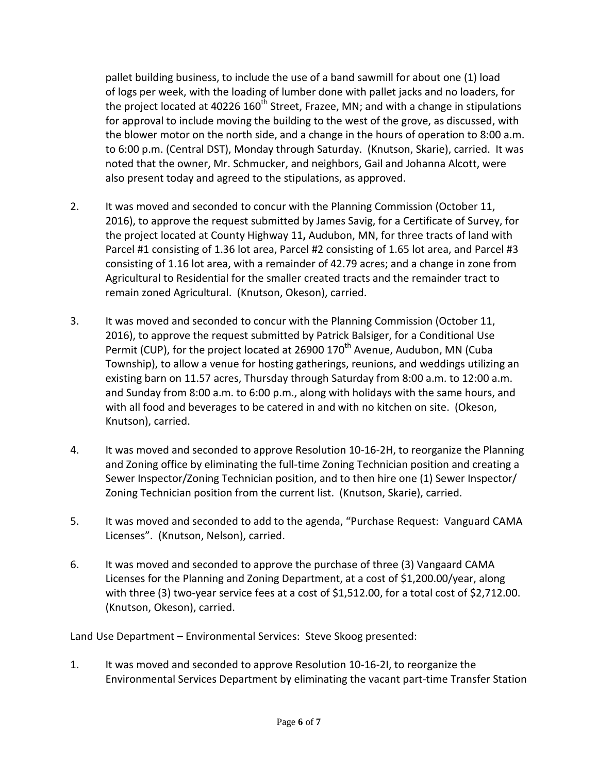pallet building business, to include the use of a band sawmill for about one (1) load of logs per week, with the loading of lumber done with pallet jacks and no loaders, for the project located at 40226 160<sup>th</sup> Street, Frazee, MN; and with a change in stipulations for approval to include moving the building to the west of the grove, as discussed, with the blower motor on the north side, and a change in the hours of operation to 8:00 a.m. to 6:00 p.m. (Central DST), Monday through Saturday. (Knutson, Skarie), carried. It was noted that the owner, Mr. Schmucker, and neighbors, Gail and Johanna Alcott, were also present today and agreed to the stipulations, as approved.

- 2. It was moved and seconded to concur with the Planning Commission (October 11, 2016), to approve the request submitted by James Savig, for a Certificate of Survey, for the project located at County Highway 11**,** Audubon, MN, for three tracts of land with Parcel #1 consisting of 1.36 lot area, Parcel #2 consisting of 1.65 lot area, and Parcel #3 consisting of 1.16 lot area, with a remainder of 42.79 acres; and a change in zone from Agricultural to Residential for the smaller created tracts and the remainder tract to remain zoned Agricultural. (Knutson, Okeson), carried.
- 3. It was moved and seconded to concur with the Planning Commission (October 11, 2016), to approve the request submitted by Patrick Balsiger, for a Conditional Use Permit (CUP), for the project located at 26900 170<sup>th</sup> Avenue, Audubon, MN (Cuba Township), to allow a venue for hosting gatherings, reunions, and weddings utilizing an existing barn on 11.57 acres, Thursday through Saturday from 8:00 a.m. to 12:00 a.m. and Sunday from 8:00 a.m. to 6:00 p.m., along with holidays with the same hours, and with all food and beverages to be catered in and with no kitchen on site. (Okeson, Knutson), carried.
- 4. It was moved and seconded to approve Resolution 10-16-2H, to reorganize the Planning and Zoning office by eliminating the full-time Zoning Technician position and creating a Sewer Inspector/Zoning Technician position, and to then hire one (1) Sewer Inspector/ Zoning Technician position from the current list. (Knutson, Skarie), carried.
- 5. It was moved and seconded to add to the agenda, "Purchase Request: Vanguard CAMA Licenses". (Knutson, Nelson), carried.
- 6. It was moved and seconded to approve the purchase of three (3) Vangaard CAMA Licenses for the Planning and Zoning Department, at a cost of \$1,200.00/year, along with three (3) two-year service fees at a cost of \$1,512.00, for a total cost of \$2,712.00. (Knutson, Okeson), carried.

Land Use Department – Environmental Services: Steve Skoog presented:

1. It was moved and seconded to approve Resolution 10-16-2I, to reorganize the Environmental Services Department by eliminating the vacant part-time Transfer Station